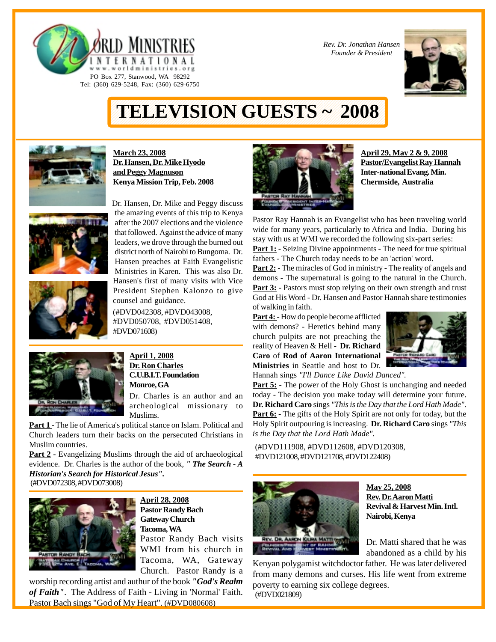



## 1234567890123456789012345678901212345678901234567890123456789012123456789012345678901234567890121234567 **TELEVISION GUESTS ~ 2008** 1234567890123456789012345678901212345678901234567890123456789012123456789012345678901234567890121234567 1234567890123456789012345678901212345678901234567890123456789012123456789012345678901234567890121234567

1234567890123456789012345678901212345678901234567890123456789012123456789012345678901234567890121234567



**March 23, 2008 Dr. Hansen, Dr. Mike Hyodo and Peggy Magnuson Kenya Mission Trip, Feb. 2008**

PO Box 277, Stanwood, WA 98292 Tel: (360) 629-5248, Fax: (360) 629-6750





(#DVD042308, #DVD043008, #DVD050708, #DVD051408, #DVD071608)



**April 1, 2008 Dr. Ron Charles C.U.B.I.T. Foundation Monroe, GA**

Dr. Charles is an author and an archeological missionary to Muslims.

**Part 1** - The lie of America's political stance on Islam. Political and Church leaders turn their backs on the persecuted Christians in Muslim countries.

Part 2 - Evangelizing Muslims through the aid of archaeological evidence. Dr. Charles is the author of the book, *" The Search - A Historian's Search for Historical Jesus".* (#DVD072308, #DVD073008)



**April 28, 2008 Pastor Randy Bach Gateway Church Tacoma, WA** Pastor Randy Bach visits WMI from his church in Tacoma, WA, Gateway Church. Pastor Randy is a

worship recording artist and authur of the book *"God's Realm of Faith"*. The Address of Faith - Living in 'Normal' Faith. Pastor Bach sings "God of My Heart". (#DVD080608)



**April 29, May 2 & 9, 2008 Pastor/Evangelist Ray Hannah Inter-national Evang. Min. Chermside, Australia**

Pastor Ray Hannah is an Evangelist who has been traveling world wide for many years, particularly to Africa and India. During his stay with us at WMI we recorded the following six-part series: **Part 1:** - Seizing Divine appointments - The need for true spiritual fathers - The Church today needs to be an 'action' word. **Part 2:** - The miracles of God in ministry - The reality of angels and demons - The supernatural is going to the natural in the Church. **Part 3:** - Pastors must stop relying on their own strength and trust God at His Word - Dr. Hansen and Pastor Hannah share testimonies of walking in faith.

Part 4: - How do people become afflicted with demons? - Heretics behind many church pulpits are not preaching the reality of Heaven & Hell - **Dr. Richard Caro** of **Rod of Aaron International Ministries** in Seattle and host to Dr. Hannah sings *"I'll Dance Like David Danced".*



**Part 5:** - The power of the Holy Ghost is unchanging and needed today - The decision you make today will determine your future. **Dr. Richard Caro** sings *"This is the Day that the Lord Hath Made"*. **Part 6:** - The gifts of the Holy Spirit are not only for today, but the Holy Spirit outpouring is increasing. **Dr. Richard Caro** sings *"This*

(#DVD111908, #DVD112608, #DVD120308, #DVD121008, #DVD121708, #DVD122408)

*is the Day that the Lord Hath Made"*.



**May 25, 2008 Rev. Dr. Aaron Matti Revival & Harvest Min. Intl. Nairobi, Kenya**

Dr. Matti shared that he was abandoned as a child by his

Kenyan polygamist witchdoctor father. He was later delivered from many demons and curses. His life went from extreme poverty to earning six college degrees. (#DVD021809)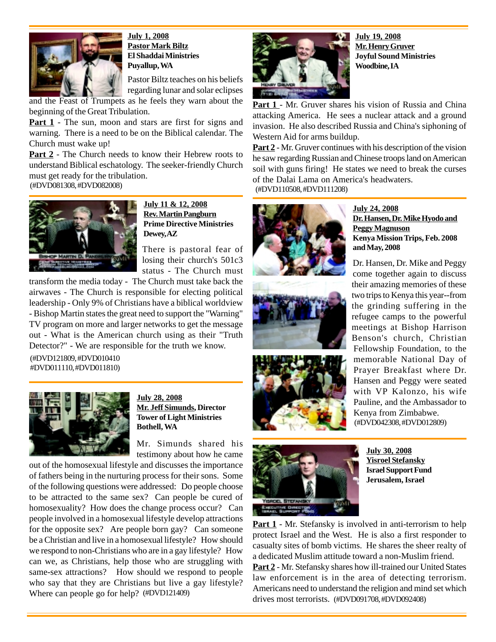

**July 1, 2008 Pastor Mark Biltz El Shaddai Ministries Puyallup, WA**

Pastor Biltz teaches on his beliefs regarding lunar and solar eclipses

and the Feast of Trumpets as he feels they warn about the beginning of the Great Tribulation.

**Part 1** - The sun, moon and stars are first for signs and warning. There is a need to be on the Biblical calendar. The Church must wake up!

**Part 2** - The Church needs to know their Hebrew roots to understand Biblical eschatology. The seeker-friendly Church must get ready for the tribulation.

(#DVD081308, #DVD082008)



**July 11 & 12, 2008 Rev. Martin Pangburn Prime Directive Ministries Dewey, AZ**

There is pastoral fear of losing their church's 501c3 status - The Church must

transform the media today - The Church must take back the airwaves - The Church is responsible for electing political leadership - Only 9% of Christians have a biblical worldview - Bishop Martin states the great need to support the "Warning" TV program on more and larger networks to get the message out - What is the American church using as their "Truth Detector?" - We are responsible for the truth we know.

(#DVD121809, #DVD010410 #DVD011110, #DVD011810)



**July 28, 2008 Mr. Jeff Simunds, Director Tower of Light Ministries Bothell, WA**

Mr. Simunds shared his testimony about how he came

out of the homosexual lifestyle and discusses the importance of fathers being in the nurturing process for their sons. Some of the following questions were addressed: Do people choose to be attracted to the same sex? Can people be cured of homosexuality? How does the change process occur? Can people involved in a homosexual lifestyle develop attractions for the opposite sex? Are people born gay? Can someone be a Christian and live in a homosexual lifestyle? How should we respond to non-Christians who are in a gay lifestyle? How can we, as Christians, help those who are struggling with same-sex attractions? How should we respond to people who say that they are Christians but live a gay lifestyle? Where can people go for help? (#DVD121409)



**July 19, 2008 Mr. Henry Gruver Joyful Sound Ministries Woodbine, IA**

Part 1 - Mr. Gruver shares his vision of Russia and China attacking America. He sees a nuclear attack and a ground invasion. He also described Russia and China's siphoning of Western Aid for arms buildup.

**Part 2** - Mr. Gruver continues with his description of the vision he saw regarding Russian and Chinese troops land on American soil with guns firing! He states we need to break the curses of the Dalai Lama on America's headwaters. (#DVD110508, #DVD111208)





**STOFAN** 



**Yisroel Stefansky Israel Support Fund Jerusalem, Israel**

**Part 1** - Mr. Stefansky is involved in anti-terrorism to help protect Israel and the West. He is also a first responder to casualty sites of bomb victims. He shares the sheer realty of a dedicated Muslim attitude toward a non-Muslim friend. **Part 2** - Mr. Stefansky shares how ill-trained our United States law enforcement is in the area of detecting terrorism. Americans need to understand the religion and mind set which drives most terrorists. (#DVD091708, #DVD092408)

**July 24, 2008 Dr. Hansen, Dr. Mike Hyodo and Peggy Magnuson Kenya Mission Trips, Feb. 2008 and May, 2008**

Dr. Hansen, Dr. Mike and Peggy come together again to discuss their amazing memories of these two trips to Kenya this year--from the grinding suffering in the refugee camps to the powerful meetings at Bishop Harrison Benson's church, Christian Fellowship Foundation, to the memorable National Day of Prayer Breakfast where Dr. Hansen and Peggy were seated with VP Kalonzo, his wife Pauline, and the Ambassador to Kenya from Zimbabwe. (#DVD042308, #DVD012809)